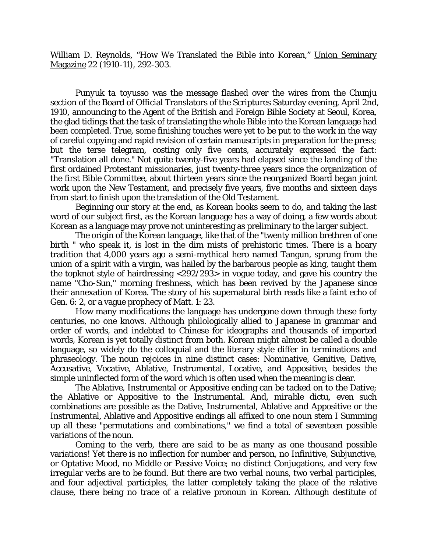William D. Reynolds, "How We Translated the Bible into Korean," Union Seminary Magazine 22 (1910-11), 292-303.

*Punyuk ta toyusso* was the message flashed over the wires from the Chunju section of the Board of Official Translators of the Scriptures Saturday evening, April 2nd, 1910, announcing to the Agent of the British and Foreign Bible Society at Seoul, Korea, the glad tidings that the task of translating the whole Bible into the Korean language had been completed. True, some finishing touches were yet to be put to the work in the way of careful copying and rapid revision of certain manuscripts in preparation for the press; but the terse telegram, costing only five cents, accurately expressed the fact: "Translation all done." Not quite twenty-five years had elapsed since the landing of the first ordained Protestant missionaries, just twenty-three years since the organization of the first Bible Committee, about thirteen years since the reorganized Board began joint work upon the New Testament, and precisely five years, five months and sixteen days from start to finish upon the translation of the Old Testament.

Beginning our story at the end, as Korean books seem to do, and taking the last word of our subject first, as the Korean language has a way of doing, a few words about Korean as a language may prove not uninteresting as preliminary to the larger subject.

The origin of the Korean language, like that of the "twenty million brethren of one birth " who speak it, is lost in the dim mists of prehistoric times. There is a hoary tradition that 4,000 years ago a semi-mythical hero named Tangun, sprung from the union of a spirit with a virgin, was hailed by the barbarous people as king, taught them the topknot style of hairdressing <292/293> in vogue today, and gave his country the name "Cho-Sun," morning freshness, which has been revived by the Japanese since their annexation of Korea. The story of his supernatural birth reads like a faint echo of Gen. 6: 2, or a vague prophecy of Matt. 1: 23.

How many modifications the language has undergone down through these forty centuries, no one knows. Although philologically allied to Japanese in grammar and order of words, and indebted to Chinese for ideographs and thousands of imported words, Korean is yet totally distinct from both. Korean might almost be called a double language, so widely do the colloquial and the literary style differ in terminations and phraseology. The noun rejoices in nine distinct cases: Nominative, Genitive, Dative, Accusative, Vocative, Ablative, Instrumental, Locative, and Appositive, besides the simple uninflected form of the word which is often used when the meaning is clear.

The Ablative, Instrumental or Appositive ending can be tacked on to the Dative; the Ablative or Appositive to the Instrumental. And, *mirable dictu*, even such combinations are possible as the Dative, Instrumental, Ablative and Appositive or the Instrumental, Ablative and Appositive endings all affixed to one noun stem I Summing up all these "permutations and combinations," we find a total of seventeen possible variations of the noun.

Coming to the verb, there are said to be as many as one thousand possible variations! Yet there is no inflection for number and person, no Infinitive, Subjunctive, or Optative Mood, no Middle or Passive Voice; no distinct Conjugations, and very few irregular verbs are to be found. But there are two verbal nouns, two verbal participles, and four adjectival participles, the latter completely taking the place of the relative clause, there being no trace of a relative pronoun in Korean. Although destitute of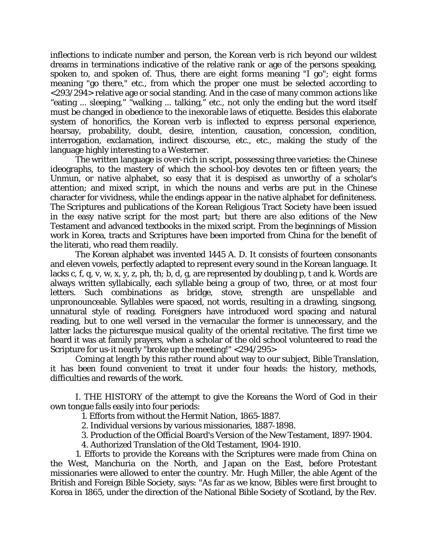inflections to indicate number and person, the Korean verb is rich beyond our wildest dreams in terminations indicative of the relative rank or age of the persons speaking, spoken to, and spoken of. Thus, there are eight forms meaning "I go"; eight forms meaning "go there," etc., from which the proper one must be selected according to <293/294> relative age or social standing. And in the case of many common actions like "eating ... sleeping," "walking ... talking," etc., not only the ending but the word itself must be changed in obedience to the inexorable laws of etiquette. Besides this elaborate system of honorifics, the Korean verb is inflected to express personal experience, hearsay, probability, doubt, desire, intention, causation, concession, condition, interrogation, exclamation, indirect discourse, etc., etc., making the study of the language highly interesting to a Westerner.

The written language is over-rich in script, possessing three varieties: the Chinese ideographs, to the mastery of which the school-boy devotes ten or fifteen years; the Unmun, or native alphabet, so easy that it is despised as unworthy of a scholar's attention; and mixed script, in which the nouns and verbs are put in the Chinese character for vividness, while the endings appear in the native alphabet for definiteness. The Scriptures and publications of the Korean Religious Tract Society have been issued in the easy native script for the most part; but there are also editions of the New Testament and advanced textbooks in the mixed script. From the beginnings of Mission work in Korea, tracts and Scriptures have been imported from China for the benefit of the literati, who read them readily.

The Korean alphabet was invented 1445 A. D. It consists of fourteen consonants and eleven vowels, perfectly adapted to represent every sound in the Korean language. It lacks c, f, q, v, w, x, y, z, ph, th; b, d, g, are represented by doubling p, t and k. Words are always written syllabically, each syllable being a group of two, three, or at most four letters. Such combinations as bridge, stove, strength are unspellable and unpronounceable. Syllables were spaced, not words, resulting in a drawling, singsong, unnatural style of reading. Foreigners have introduced word spacing and natural reading, but to one well versed in the vernacular the former is unnecessary, and the latter lacks the picturesque musical quality of the oriental recitative. The first time we heard it was at family prayers, when a scholar of the old school volunteered to read the Scripture for us-it nearly "broke up the meeting!" <294/295>

Coming at length by this rather round about way to our subject, Bible Translation, it has been found convenient to treat it under four heads: the history, methods, difficulties and rewards of the work.

I. THE HISTORY of the attempt to give the Koreans the Word of God in their own tongue falls easily into four periods:

1. Efforts from without the Hermit Nation, 1865-1887.

2. Individual versions by various missionaries, 1887-1898.

3. Production of the Official Board's Version of the New Testament, 1897-1904.

4. Authorized Translation of the Old Testament, 1904-1910.

1. Efforts to provide the Koreans with the Scriptures were made from China on the West, Manchuria on the North, and Japan on the East, before Protestant missionaries were allowed to enter the country. Mr. Hugh Miller, the able Agent of the British and Foreign Bible Society, says: "As far as we know, Bibles were first brought to Korea in 1865, under the direction of the National Bible Society of Scotland, by the Rev.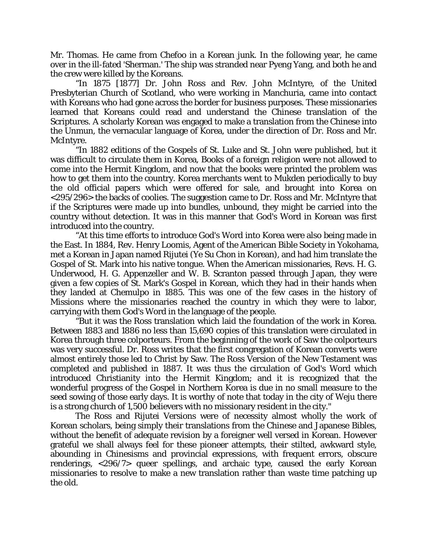Mr. Thomas. He came from Chefoo in a Korean junk. In the following year, he came over in the ill-fated 'Sherman.' The ship was stranded near Pyeng Yang, and both he and the crew were killed by the Koreans.

"In 1875 [1877] Dr. John Ross and Rev. John McIntyre, of the United Presbyterian Church of Scotland, who were working in Manchuria, came into contact with Koreans who had gone across the border for business purposes. These missionaries learned that Koreans could read and understand the Chinese translation of the Scriptures. A scholarly Korean was engaged to make a translation from the Chinese into the Unmun, the vernacular language of Korea, under the direction of Dr. Ross and Mr. McIntyre.

"In 1882 editions of the Gospels of St. Luke and St. John were published, but it was difficult to circulate them in Korea, Books of a foreign religion were not allowed to come into the Hermit Kingdom, and now that the books were printed the problem was how to get them into the country. Korea merchants went to Mukden periodically to buy the old official papers which were offered for sale, and brought into Korea on <295/296> the backs of coolies. The suggestion came to Dr. Ross and Mr. McIntyre that if the Scriptures were made up into bundles, unbound, they might be carried into the country without detection. It was in this manner that God's Word in Korean was first introduced into the country.

"At this time efforts to introduce God's Word into Korea were also being made in the East. In 1884, Rev. Henry Loomis, Agent of the American Bible Society in Yokohama, met a Korean in Japan named Rijutei (Ye Su Chon in Korean), and had him translate the Gospel of St. Mark into his native tongue. When the American missionaries, Revs. H. G. Underwood, H. G. Appenzeller and W. B. Scranton passed through Japan, they were given a few copies of St. Mark's Gospel in Korean, which they had in their hands when they landed at Chemulpo in 1885. This was one of the few cases in the history of Missions where the missionaries reached the country in which they were to labor, carrying with them God's Word in the language of the people.

"But it was the Ross translation which laid the foundation of the work in Korea. Between 1883 and 1886 no less than 15,690 copies of this translation were circulated in Korea through three colporteurs. From the beginning of the work of Saw the colporteurs was very successful. Dr. Ross writes that the first congregation of Korean converts were almost entirely those led to Christ by Saw. The Ross Version of the New Testament was completed and published in 1887. It was thus the circulation of God's Word which introduced Christianity into the Hermit Kingdom; and it is recognized that the wonderful progress of the Gospel in Northern Korea is due in no small measure to the seed sowing of those early days. It is worthy of note that today in the city of Weju there is a strong church of 1,500 believers with no missionary resident in the city."

The Ross and Rijutei Versions were of necessity almost wholly the work of Korean scholars, being simply their translations from the Chinese and Japanese Bibles, without the benefit of adequate revision by a foreigner well versed in Korean. However grateful we shall always feel for these pioneer attempts, their stilted, awkward style, abounding in Chinesisms and provincial expressions, with frequent errors, obscure renderings, <296/7> queer spellings, and archaic type, caused the early Korean missionaries to resolve to make a new translation rather than waste time patching up the old.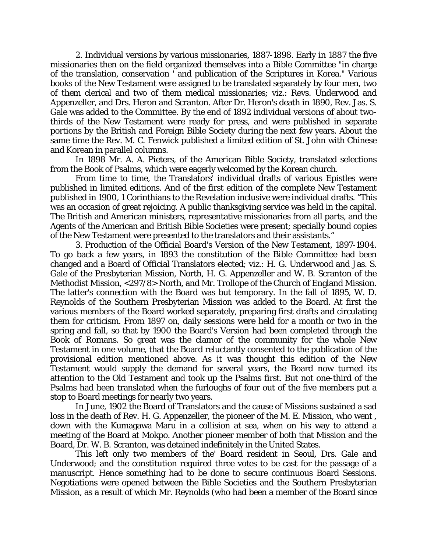2. Individual versions by various missionaries, 1887-1898. Early in 1887 the five missionaries then on the field organized themselves into a Bible Committee "in charge of the translation, conservation ' and publication of the Scriptures in Korea." Various books of the New Testament were assigned to be translated separately by four men, two of them clerical and two of them medical missionaries; viz.: Revs. Underwood and Appenzeller, and Drs. Heron and Scranton. After Dr. Heron's death in 1890, Rev. Jas. S. Gale was added to the Committee. By the end of 1892 individual versions of about twothirds of the New Testament were ready for press, and were published in separate portions by the British and Foreign Bible Society during the next few years. About the same time the Rev. M. C. Fenwick published a limited edition of St. John with Chinese and Korean in parallel columns.

In 1898 Mr. A. A. Pieters, of the American Bible Society, translated selections from the Book of Psalms, which were eagerly welcomed by the Korean church.

From time to time, the Translators' individual drafts of various Epistles were published in limited editions. And of the first edition of the complete New Testament published in 1900, 1 Corinthians to the Revelation inclusive were individual drafts. "This was an occasion of great rejoicing. A public thanksgiving service was held in the capital. The British and American ministers, representative missionaries from all parts, and the Agents of the American and British Bible Societies were present; specially bound copies of the New Testament were presented to the translators and their assistants."

3. Production of the Official Board's Version of the New Testament, 1897-1904. To go back a few years, in 1893 the constitution of the Bible Committee had been changed and a Board of Official Translators elected; viz.: H. G. Underwood and Jas. S. Gale of the Presbyterian Mission, North, H. G. Appenzeller and W. B. Scranton of the Methodist Mission, <297/8> North, and Mr. Trollope of the Church of England Mission. The latter's connection with the Board was but temporary. In the fall of 1895, W. D. Reynolds of the Southern Presbyterian Mission was added to the Board. At first the various members of the Board worked separately, preparing first drafts and circulating them for criticism. From 1897 on, daily sessions were held for a month or two in the spring and fall, so that by 1900 the Board's Version had been completed through the Book of Romans. So great was the clamor of the community for the whole New Testament in one volume, that the Board reluctantly consented to the publication of the provisional edition mentioned above. As it was thought this edition of the New Testament would supply the demand for several years, the Board now turned its attention to the Old Testament and took up the Psalms first. But not one-third of the Psalms had been translated when the furloughs of four out of the five members put a stop to Board meetings for nearly two years.

In June, 1902 the Board of Translators and the cause of Missions sustained a sad loss in the death of Rev. H. G. Appenzeller, the pioneer of the M. E. Mission, who went , down with the Kumagawa Maru in a collision at sea, when on his way to attend a meeting of the Board at Mokpo. Another pioneer member of both that Mission and the Board, Dr. W. B. Scranton, was detained indefinitely in the United States.

This left only two members of the' Board resident in Seoul, Drs. Gale and Underwood; and the constitution required three votes to be cast for the passage of a manuscript. Hence something had to be done to secure continuous Board Sessions. Negotiations were opened between the Bible Societies and the Southern Presbyterian Mission, as a result of which Mr. Reynolds (who had been a member of the Board since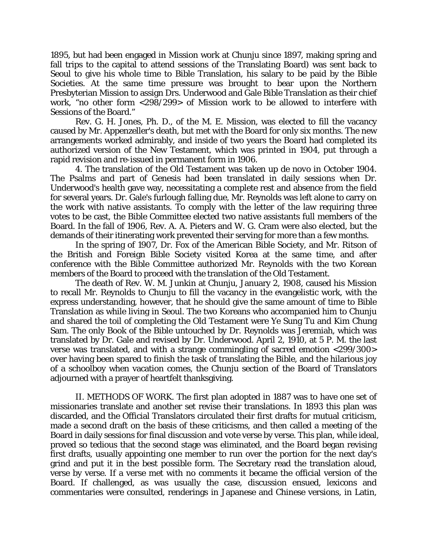1895, but had been engaged in Mission work at Chunju since 1897, making spring and fall trips to the capital to attend sessions of the Translating Board) was sent back to Seoul to give his whole time to Bible Translation, his salary to be paid by the Bible Societies. At the same time pressure was brought to bear upon the Northern Presbyterian Mission to assign Drs. Underwood and Gale Bible Translation as their chief work, "no other form <298/299> of Mission work to be allowed to interfere with Sessions of the Board."

Rev. G. H. Jones, Ph. D., of the M. E. Mission, was elected to fill the vacancy caused by Mr. Appenzeller's death, but met with the Board for only six months. The new arrangements worked admirably, and inside of two years the Board had completed its authorized version of the New Testament, which was printed in 1904, put through a rapid revision and re-issued in permanent form in 1906.

4. The translation of the Old Testament was taken up *de novo* in October 1904. The Psalms and part of Genesis had been translated in daily sessions when Dr. Underwood's health gave way, necessitating a complete rest and absence from the field for several years. Dr. Gale's furlough falling due, Mr. Reynolds was left alone to carry on the work with native assistants. To comply with the letter of the law requiring three votes to be cast, the Bible Committee elected two native assistants full members of the Board. In the fall of 1906, Rev. A. A. Pieters and W. G. Cram were also elected, but the demands of their itinerating work prevented their serving for more than a few months.

In the spring of 1907, Dr. Fox of the American Bible Society, and Mr. Ritson of the British and Foreign Bible Society visited Korea at the same time, and after conference with the Bible Committee authorized Mr. Reynolds with the two Korean members of the Board to proceed with the translation of the Old Testament.

The death of Rev. W. M. Junkin at Chunju, January 2, 1908, caused his Mission to recall Mr. Reynolds to Chunju to fill the vacancy in the evangelistic work, with the express understanding, however, that he should give the same amount of time to Bible Translation as while living in Seoul. The two Koreans who accompanied him to Chunju and shared the toil of completing the Old Testament were Ye Sung Tu and Kim Chung Sam. The only Book of the Bible untouched by Dr. Reynolds was Jeremiah, which was translated by Dr. Gale and revised by Dr. Underwood. April 2, 1910, at 5 P. M. the last verse was translated, and with a strange commingling of sacred emotion <299/300> over having been spared to finish the task of translating the Bible, and the hilarious joy of a schoolboy when vacation comes, the Chunju section of the Board of Translators adjourned with a prayer of heartfelt thanksgiving.

II. METHODS OF WORK. The first plan adopted in 1887 was to have one set of missionaries translate and another set revise their translations. In 1893 this plan was discarded, and the Official Translators circulated their first drafts for mutual criticism, made a second draft on the basis of these criticisms, and then called a meeting of the Board in daily sessions for final discussion and vote verse by verse. This plan, while ideal, proved so tedious that the second stage was eliminated, and the Board began revising first drafts, usually appointing one member to run over the portion for the next day's grind and put it in the best possible form. The Secretary read the translation aloud, verse by verse. If a verse met with no comments it became the official version of the Board. If challenged, as was usually the case, discussion ensued, lexicons and commentaries were consulted, renderings in Japanese and Chinese versions, in Latin,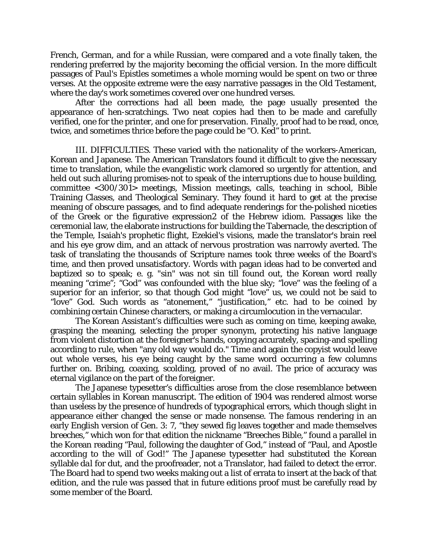French, German, and for a while Russian, were compared and a vote finally taken, the rendering preferred by the majority becoming the official version. In the more difficult passages of Paul's Epistles sometimes a whole morning would be spent on two or three verses. At the opposite extreme were the easy narrative passages in the Old Testament, where the day's work sometimes covered over one hundred verses.

After the corrections had all been made, the page usually presented the appearance of hen-scratchings. Two neat copies had then to be made and carefully verified, one for the printer, and one for preservation. Finally, proof had to be read, once, twice, and sometimes thrice before the page could be "O. Ked" to print.

III. DIFFICULTIES. These varied with the nationality of the workers-American, Korean and Japanese. The American Translators found it difficult to give the necessary time to translation, while the evangelistic work clamored so urgently for attention, and held out such alluring promises-not to speak of the interruptions due to house building, committee <300/301> meetings, Mission meetings, calls, teaching in school, Bible Training Classes, and Theological Seminary. They found it hard to get at the precise meaning of obscure passages, and to find adequate renderings for the-polished niceties of the Greek or the figurative expression2 of the Hebrew idiom. Passages like the ceremonial law, the elaborate instructions for building the Tabernacle, the description of the Temple, Isaiah's prophetic flight, Ezekiel's visions, made the translator's brain reel and his eye grow dim, and an attack of nervous prostration was narrowly averted. The task of translating the thousands of Scripture names took three weeks of the Board's time, and then proved unsatisfactory. Words with pagan ideas had to be converted and baptized so to speak; e. g. "sin" was not sin till found out, the Korean word really meaning "crime"; "God" was confounded with the blue sky; "love" was the feeling of a superior for an inferior, so that though God might "love" us, we could not be said to "love" God. Such words as "atonement," "justification," etc. had to be coined by combining certain Chinese characters, or making a circumlocution in the vernacular.

The Korean Assistant's difficulties were such as coming on time, keeping awake, grasping the meaning, selecting the proper synonym, protecting his native language from violent distortion at the foreigner's hands, copying accurately, spacing-and spelling according to rule, when "any old way would do." Time and again the copyist would leave out whole verses, his eye being caught by the same word occurring a few columns further on. Bribing, coaxing, scolding, proved of no avail. The price of accuracy was eternal vigilance on the part of the foreigner.

The Japanese typesetter's difficulties arose from the close resemblance between certain syllables in Korean manuscript. The edition of 1904 was rendered almost worse than useless by the presence of hundreds of typographical errors, which though slight in appearance either changed the sense or made nonsense. The famous rendering in an early English version of Gen. 3: 7, "they sewed fig leaves together and made themselves *breeches*," which won for that edition the nickname "Breeches Bible," found a parallel in the Korean reading "Paul, following the daughter of God," instead of "Paul, and Apostle according to the will of God!" The Japanese typesetter had substituted the Korean syllable *dal* for *dut*, and the proofreader, not a Translator, had failed to detect the error. The Board had to spend two weeks making out a list of errata to insert at the back of that edition, and the rule was passed that in future editions proof must be carefully read by some member of the Board.